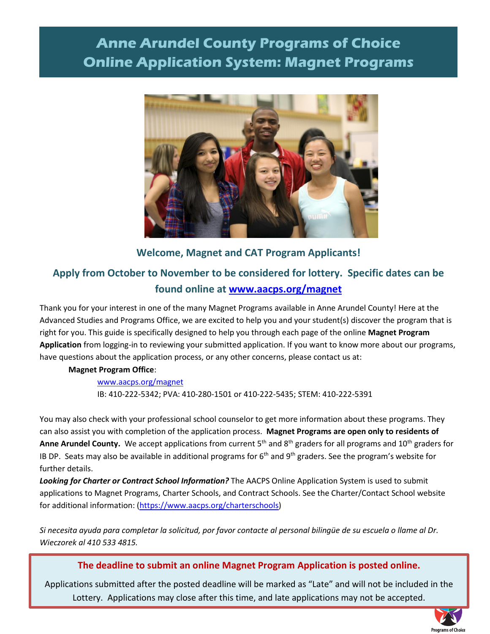# **Anne Arundel County Programs of Choice Online Application System: Magnet Programs**



### **Welcome, Magnet and CAT Program Applicants!**

## **Apply from October to November to be considered for lottery. Specific dates can be found online at [www.aacps.org/magnet](http://www.aacps.org/magnet)**

Thank you for your interest in one of the many Magnet Programs available in Anne Arundel County! Here at the Advanced Studies and Programs Office, we are excited to help you and your student(s) discover the program that is right for you. This guide is specifically designed to help you through each page of the online **Magnet Program Application** from logging-in to reviewing your submitted application. If you want to know more about our programs, have questions about the application process, or any other concerns, please contact us at:

#### **Magnet Program Office**:

### [www.aacps.org/magnet](http://www.aacps.org/magnet) IB: 410-222-5342; PVA: 410-280-1501 or 410-222-5435; STEM: 410-222-5391

You may also check with your professional school counselor to get more information about these programs. They can also assist you with completion of the application process. **Magnet Programs are open only to residents of**  Anne Arundel County. We accept applications from current 5<sup>th</sup> and 8<sup>th</sup> graders for all programs and 10<sup>th</sup> graders for IB DP. Seats may also be available in additional programs for  $6<sup>th</sup>$  and  $9<sup>th</sup>$  graders. See the program's website for further details.

*Looking for Charter or Contract School Information?* The AACPS Online Application System is used to submit applications to Magnet Programs, Charter Schools, and Contract Schools. See the Charter/Contact School website for additional information: [\(https://www.aacps.org/charterschools\)](https://www.aacps.org/charterschools)

*Si necesita ayuda para completar la solicitud, por favor contacte al personal bilingüe de su escuela o llame al Dr. Wieczorek al 410 533 4815.* 

#### **The deadline to submit an online Magnet Program Application is posted online.**

Lottery. Applications may close after this time, and late applications may not be accepted. Applications submitted after the posted deadline will be marked as "Late" and will not be included in the

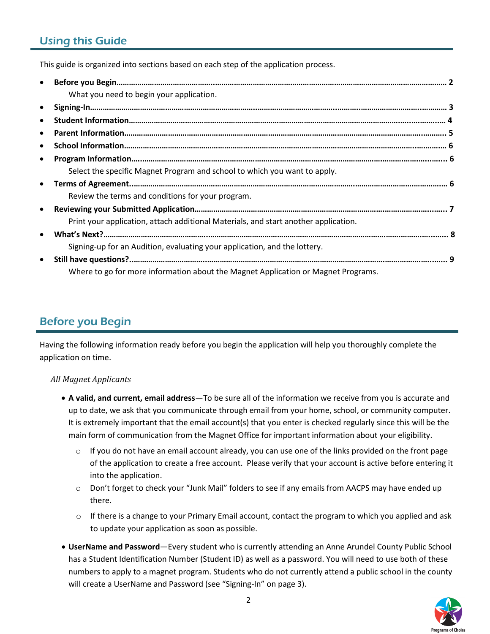## Using this Guide

This guide is organized into sections based on each step of the application process.

| $\bullet$ |                                                                                     |  |
|-----------|-------------------------------------------------------------------------------------|--|
|           | What you need to begin your application.                                            |  |
| $\bullet$ |                                                                                     |  |
| $\bullet$ |                                                                                     |  |
| $\bullet$ |                                                                                     |  |
| $\bullet$ |                                                                                     |  |
| $\bullet$ |                                                                                     |  |
|           | Select the specific Magnet Program and school to which you want to apply.           |  |
| $\bullet$ |                                                                                     |  |
|           | Review the terms and conditions for your program.                                   |  |
| $\bullet$ |                                                                                     |  |
|           | Print your application, attach additional Materials, and start another application. |  |
| $\bullet$ |                                                                                     |  |
|           | Signing-up for an Audition, evaluating your application, and the lottery.           |  |
| $\bullet$ |                                                                                     |  |
|           | Where to go for more information about the Magnet Application or Magnet Programs.   |  |

## Before you Begin

Having the following information ready before you begin the application will help you thoroughly complete the application on time.

#### *All Magnet Applicants*

- **A valid, and current, email address**—To be sure all of the information we receive from you is accurate and up to date, we ask that you communicate through email from your home, school, or community computer. It is extremely important that the email account(s) that you enter is checked regularly since this will be the main form of communication from the Magnet Office for important information about your eligibility.
	- $\circ$  If you do not have an email account already, you can use one of the links provided on the front page of the application to create a free account. Please verify that your account is active before entering it into the application.
	- o Don't forget to check your "Junk Mail" folders to see if any emails from AACPS may have ended up there.
	- $\circ$  If there is a change to your Primary Email account, contact the program to which you applied and ask to update your application as soon as possible.
- **UserName and Password**—Every student who is currently attending an Anne Arundel County Public School has a Student Identification Number (Student ID) as well as a password. You will need to use both of these numbers to apply to a magnet program. Students who do not currently attend a public school in the county will create a UserName and Password (see "Signing-In" on page 3).

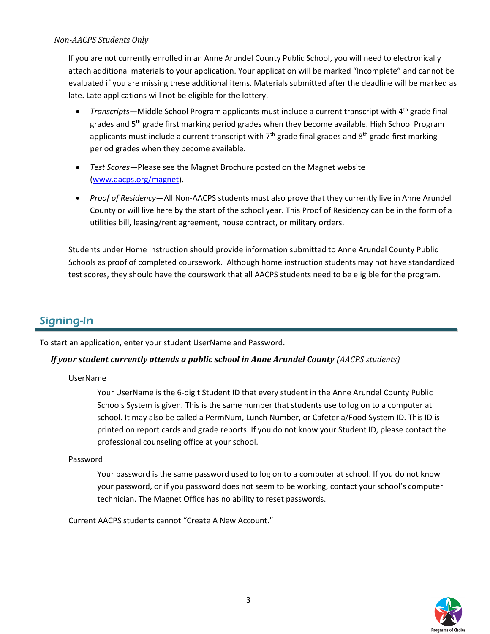#### *Non-AACPS Students Only*

If you are not currently enrolled in an Anne Arundel County Public School, you will need to electronically attach additional materials to your application. Your application will be marked "Incomplete" and cannot be evaluated if you are missing these additional items. Materials submitted after the deadline will be marked as late. Late applications will not be eligible for the lottery.

- *Transcripts*—Middle School Program applicants must include a current transcript with 4th grade final grades and  $5<sup>th</sup>$  grade first marking period grades when they become available. High School Program applicants must include a current transcript with  $7<sup>th</sup>$  grade final grades and  $8<sup>th</sup>$  grade first marking period grades when they become available.
- *Test Scores*—Please see the Magnet Brochure posted on the Magnet website [\(www.aacps.org/magnet\)](http://www.aacps.org/magnet).
- *Proof of Residency*—All Non-AACPS students must also prove that they currently live in Anne Arundel County or will live here by the start of the school year. This Proof of Residency can be in the form of a utilities bill, leasing/rent agreement, house contract, or military orders.

Students under Home Instruction should provide information submitted to Anne Arundel County Public Schools as proof of completed coursework. Although home instruction students may not have standardized test scores, they should have the courswork that all AACPS students need to be eligible for the program.

## Signing-In

To start an application, enter your student UserName and Password.

#### *If your student currently attends a public school in Anne Arundel County (AACPS students)*

#### UserName

Your UserName is the 6-digit Student ID that every student in the Anne Arundel County Public Schools System is given. This is the same number that students use to log on to a computer at school. It may also be called a PermNum, Lunch Number, or Cafeteria/Food System ID. This ID is printed on report cards and grade reports. If you do not know your Student ID, please contact the professional counseling office at your school.

#### Password

Your password is the same password used to log on to a computer at school. If you do not know your password, or if you password does not seem to be working, contact your school's computer technician. The Magnet Office has no ability to reset passwords.

Current AACPS students cannot "Create A New Account."

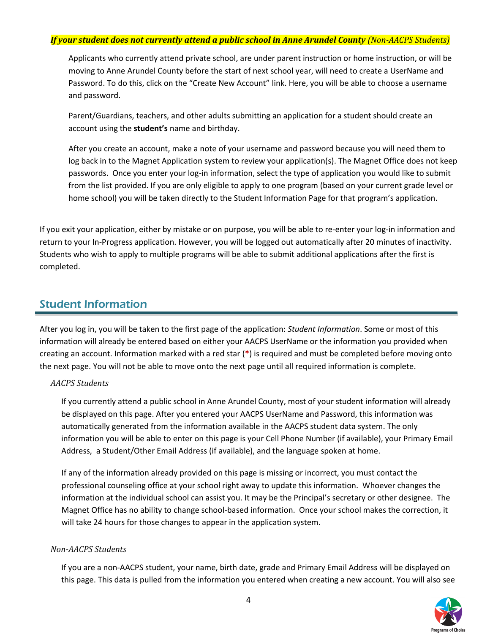#### *If your student does not currently attend a public school in Anne Arundel County (Non-AACPS Students)*

Applicants who currently attend private school, are under parent instruction or home instruction, or will be moving to Anne Arundel County before the start of next school year, will need to create a UserName and Password. To do this, click on the "Create New Account" link. Here, you will be able to choose a username and password.

Parent/Guardians, teachers, and other adults submitting an application for a student should create an account using the **student's** name and birthday.

After you create an account, make a note of your username and password because you will need them to log back in to the Magnet Application system to review your application(s). The Magnet Office does not keep passwords. Once you enter your log-in information, select the type of application you would like to submit from the list provided. If you are only eligible to apply to one program (based on your current grade level or home school) you will be taken directly to the Student Information Page for that program's application.

If you exit your application, either by mistake or on purpose, you will be able to re-enter your log-in information and return to your In-Progress application. However, you will be logged out automatically after 20 minutes of inactivity. Students who wish to apply to multiple programs will be able to submit additional applications after the first is completed.

### Student Information

After you log in, you will be taken to the first page of the application: *Student Information*. Some or most of this information will already be entered based on either your AACPS UserName or the information you provided when creating an account. Information marked with a red star (**\***) is required and must be completed before moving onto the next page. You will not be able to move onto the next page until all required information is complete.

#### *AACPS Students*

If you currently attend a public school in Anne Arundel County, most of your student information will already be displayed on this page. After you entered your AACPS UserName and Password, this information was automatically generated from the information available in the AACPS student data system. The only information you will be able to enter on this page is your Cell Phone Number (if available), your Primary Email Address, a Student/Other Email Address (if available), and the language spoken at home.

If any of the information already provided on this page is missing or incorrect, you must contact the professional counseling office at your school right away to update this information. Whoever changes the information at the individual school can assist you. It may be the Principal's secretary or other designee. The Magnet Office has no ability to change school-based information. Once your school makes the correction, it will take 24 hours for those changes to appear in the application system.

#### *Non-AACPS Students*

If you are a non-AACPS student, your name, birth date, grade and Primary Email Address will be displayed on this page. This data is pulled from the information you entered when creating a new account. You will also see

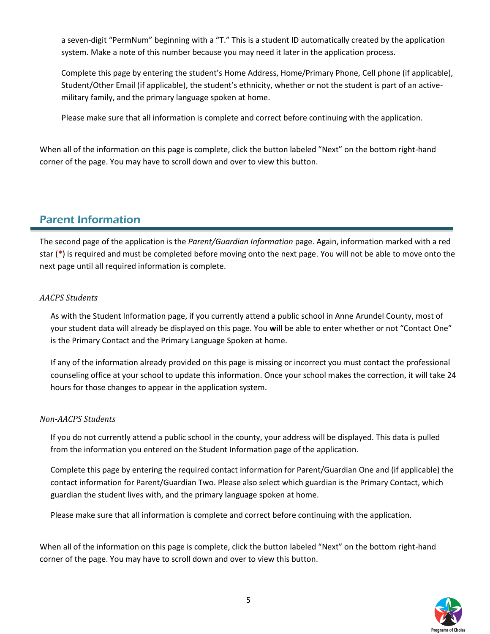a seven-digit "PermNum" beginning with a "T." This is a student ID automatically created by the application system. Make a note of this number because you may need it later in the application process.

Complete this page by entering the student's Home Address, Home/Primary Phone, Cell phone (if applicable), Student/Other Email (if applicable), the student's ethnicity, whether or not the student is part of an activemilitary family, and the primary language spoken at home.

Please make sure that all information is complete and correct before continuing with the application.

When all of the information on this page is complete, click the button labeled "Next" on the bottom right-hand corner of the page. You may have to scroll down and over to view this button.

## Parent Information

The second page of the application is the *Parent/Guardian Information* page. Again, information marked with a red star (**\***) is required and must be completed before moving onto the next page. You will not be able to move onto the next page until all required information is complete.

#### *AACPS Students*

As with the Student Information page, if you currently attend a public school in Anne Arundel County, most of your student data will already be displayed on this page. You **will** be able to enter whether or not "Contact One" is the Primary Contact and the Primary Language Spoken at home.

If any of the information already provided on this page is missing or incorrect you must contact the professional counseling office at your school to update this information. Once your school makes the correction, it will take 24 hours for those changes to appear in the application system.

#### *Non-AACPS Students*

If you do not currently attend a public school in the county, your address will be displayed. This data is pulled from the information you entered on the Student Information page of the application.

Complete this page by entering the required contact information for Parent/Guardian One and (if applicable) the contact information for Parent/Guardian Two. Please also select which guardian is the Primary Contact, which guardian the student lives with, and the primary language spoken at home.

Please make sure that all information is complete and correct before continuing with the application.

When all of the information on this page is complete, click the button labeled "Next" on the bottom right-hand corner of the page. You may have to scroll down and over to view this button.

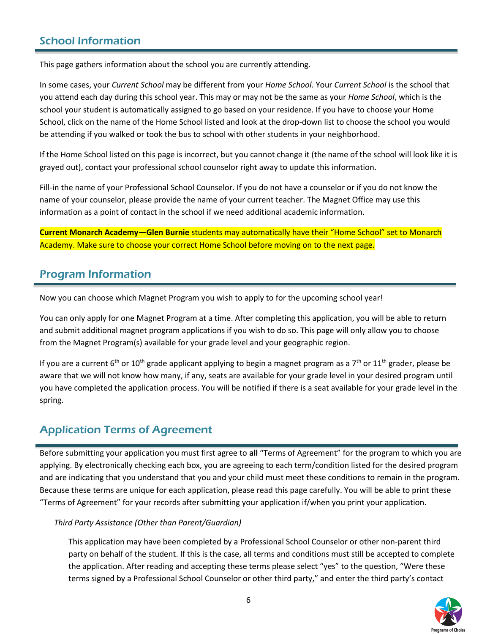## School Information

This page gathers information about the school you are currently attending.

In some cases, your *Current School* may be different from your *Home School*. Your *Current School* is the school that you attend each day during this school year. This may or may not be the same as your *Home School*, which is the school your student is automatically assigned to go based on your residence. If you have to choose your Home School, click on the name of the Home School listed and look at the drop-down list to choose the school you would be attending if you walked or took the bus to school with other students in your neighborhood.

If the Home School listed on this page is incorrect, but you cannot change it (the name of the school will look like it is grayed out), contact your professional school counselor right away to update this information.

Fill-in the name of your Professional School Counselor. If you do not have a counselor or if you do not know the name of your counselor, please provide the name of your current teacher. The Magnet Office may use this information as a point of contact in the school if we need additional academic information.

**Current Monarch Academy—Glen Burnie** students may automatically have their "Home School" set to Monarch Academy. Make sure to choose your correct Home School before moving on to the next page.

## Program Information

Now you can choose which Magnet Program you wish to apply to for the upcoming school year!

You can only apply for one Magnet Program at a time. After completing this application, you will be able to return and submit additional magnet program applications if you wish to do so. This page will only allow you to choose from the Magnet Program(s) available for your grade level and your geographic region.

If you are a current 6<sup>th</sup> or 10<sup>th</sup> grade applicant applying to begin a magnet program as a 7<sup>th</sup> or 11<sup>th</sup> grader, please be aware that we will not know how many, if any, seats are available for your grade level in your desired program until you have completed the application process. You will be notified if there is a seat available for your grade level in the spring.

## Application Terms of Agreement

Before submitting your application you must first agree to **all** "Terms of Agreement" for the program to which you are applying. By electronically checking each box, you are agreeing to each term/condition listed for the desired program and are indicating that you understand that you and your child must meet these conditions to remain in the program. Because these terms are unique for each application, please read this page carefully. You will be able to print these "Terms of Agreement" for your records after submitting your application if/when you print your application.

#### *Third Party Assistance (Other than Parent/Guardian)*

This application may have been completed by a Professional School Counselor or other non-parent third party on behalf of the student. If this is the case, all terms and conditions must still be accepted to complete the application. After reading and accepting these terms please select "yes" to the question, "Were these terms signed by a Professional School Counselor or other third party," and enter the third party's contact

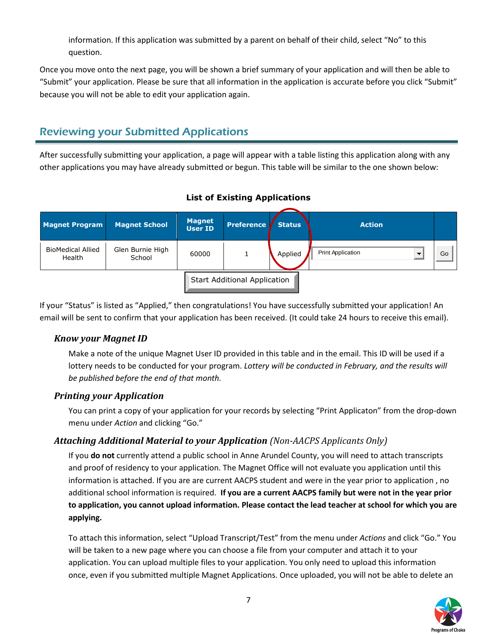information. If this application was submitted by a parent on behalf of their child, select "No" to this question.

Once you move onto the next page, you will be shown a brief summary of your application and will then be able to "Submit" your application. Please be sure that all information in the application is accurate before you click "Submit" because you will not be able to edit your application again.

## Reviewing your Submitted Applications

After successfully submitting your application, a page will appear with a table listing this application along with any other applications you may have already submitted or begun. This table will be similar to the one shown below:

| <b>Magnet Program</b>              | <b>Magnet School</b>       | <b>Magnet</b><br><b>User ID</b> | <b>Preference</b>                   | <b>Status</b> | <b>Action</b>            |    |
|------------------------------------|----------------------------|---------------------------------|-------------------------------------|---------------|--------------------------|----|
| <b>BioMedical Allied</b><br>Health | Glen Burnie High<br>School | 60000                           |                                     | Applied       | <b>Print Application</b> | Go |
|                                    |                            |                                 | <b>Start Additional Application</b> |               |                          |    |

### **List of Existing Applications**

If your "Status" is listed as "Applied," then congratulations! You have successfully submitted your application! An email will be sent to confirm that your application has been received. (It could take 24 hours to receive this email).

### *Know your Magnet ID*

Make a note of the unique Magnet User ID provided in this table and in the email. This ID will be used if a lottery needs to be conducted for your program. Lottery will be conducted in February, and the results will *be published before the end of that month.*

### *Printing your Application*

You can print a copy of your application for your records by selecting "Print Applicaton" from the drop-down menu under *Action* and clicking "Go."

### *Attaching Additional Material to your Application (Non-AACPS Applicants Only)*

If you **do not** currently attend a public school in Anne Arundel County, you will need to attach transcripts and proof of residency to your application. The Magnet Office will not evaluate you application until this information is attached. If you are are current AACPS student and were in the year prior to application , no additional school information is required. **If you are a current AACPS family but were not in the year prior to application, you cannot upload information. Please contact the lead teacher at school for which you are applying.**

To attach this information, select "Upload Transcript/Test" from the menu under *Actions* and click "Go." You will be taken to a new page where you can choose a file from your computer and attach it to your application. You can upload multiple files to your application. You only need to upload this information once, even if you submitted multiple Magnet Applications. Once uploaded, you will not be able to delete an

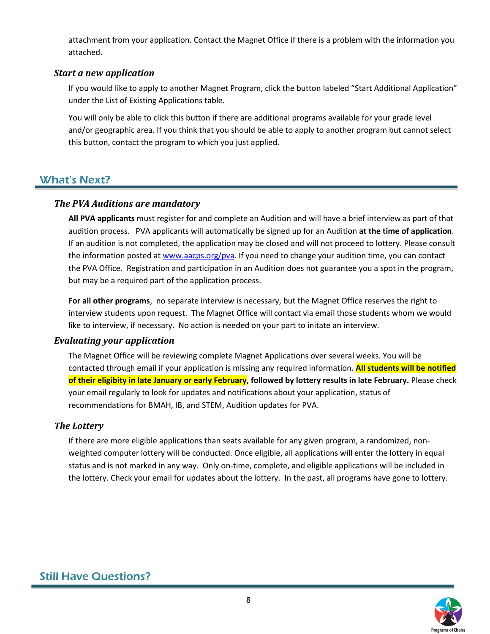attachment from your application. Contact the Magnet Office if there is a problem with the information you attached.

#### *Start a new application*

If you would like to apply to another Magnet Program, click the button labeled "Start Additional Application" under the List of Existing Applications table.

You will only be able to click this button if there are additional programs available for your grade level and/or geographic area. If you think that you should be able to apply to another program but cannot select this button, contact the program to which you just applied.

## What's Next?

#### *The PVA Auditions are mandatory*

**All PVA applicants** must register for and complete an Audition and will have a brief interview as part of that audition process. PVA applicants will automatically be signed up for an Audition **at the time of application**. If an audition is not completed, the application may be closed and will not proceed to lottery. Please consult the information posted at [www.aacps.org/pva.](http://www.aacps.org/pva) If you need to change your audition time, you can contact the PVA Office. Registration and participation in an Audition does not guarantee you a spot in the program, but may be a required part of the application process.

**For all other programs**, no separate interview is necessary, but the Magnet Office reserves the right to interview students upon request. The Magnet Office will contact via email those students whom we would like to interview, if necessary. No action is needed on your part to initate an interview.

#### *Evaluating your application*

The Magnet Office will be reviewing complete Magnet Applications over several weeks. You will be contacted through email if your application is missing any required information. **All students will be notified of their eligibity in late January or early February, followed by lottery results in late February.** Please check your email regularly to look for updates and notifications about your application, status of recommendations for BMAH, IB, and STEM, Audition updates for PVA.

### *The Lottery*

If there are more eligible applications than seats available for any given program, a randomized, nonweighted computer lottery will be conducted. Once eligible, all applications will enter the lottery in equal status and is not marked in any way. Only on-time, complete, and eligible applications will be included in the lottery. Check your email for updates about the lottery. In the past, all programs have gone to lottery.